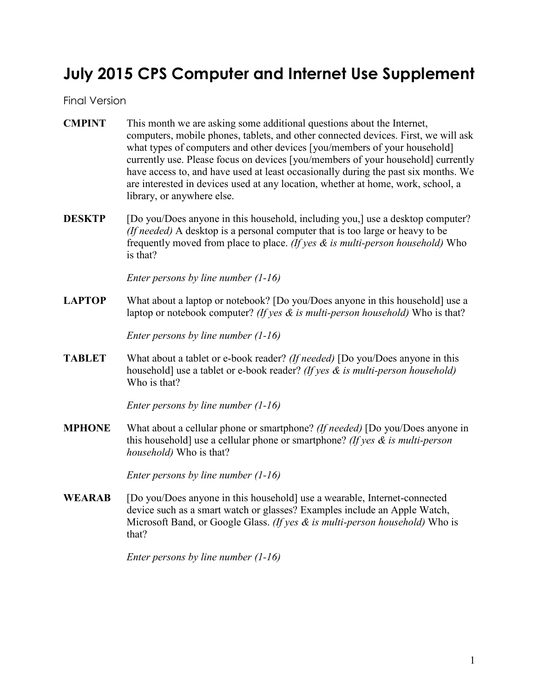# **July 2015 CPS Computer and Internet Use Supplement**

Final Version

- **CMPINT** This month we are asking some additional questions about the Internet, computers, mobile phones, tablets, and other connected devices. First, we will ask what types of computers and other devices [you/members of your household] currently use. Please focus on devices [you/members of your household] currently have access to, and have used at least occasionally during the past six months. We are interested in devices used at any location, whether at home, work, school, a library, or anywhere else.
- **DESKTP** [Do you/Does anyone in this household, including you,] use a desktop computer? *(If needed)* A desktop is a personal computer that is too large or heavy to be frequently moved from place to place. *(If yes & is multi-person household)* Who is that?

*Enter persons by line number (1-16)*

**LAPTOP** What about a laptop or notebook? [Do you/Does anyone in this household] use a laptop or notebook computer? *(If yes & is multi-person household)* Who is that?

*Enter persons by line number (1-16)*

**TABLET** What about a tablet or e-book reader? *(If needed)* [Do you/Does anyone in this household] use a tablet or e-book reader? *(If yes & is multi-person household)* Who is that?

*Enter persons by line number (1-16)*

**MPHONE** What about a cellular phone or smartphone? *(If needed)* [Do you/Does anyone in this household] use a cellular phone or smartphone? *(If yes & is multi-person household)* Who is that?

*Enter persons by line number (1-16)*

**WEARAB** [Do you/Does anyone in this household] use a wearable, Internet-connected device such as a smart watch or glasses? Examples include an Apple Watch, Microsoft Band, or Google Glass. *(If yes & is multi-person household)* Who is that?

*Enter persons by line number (1-16)*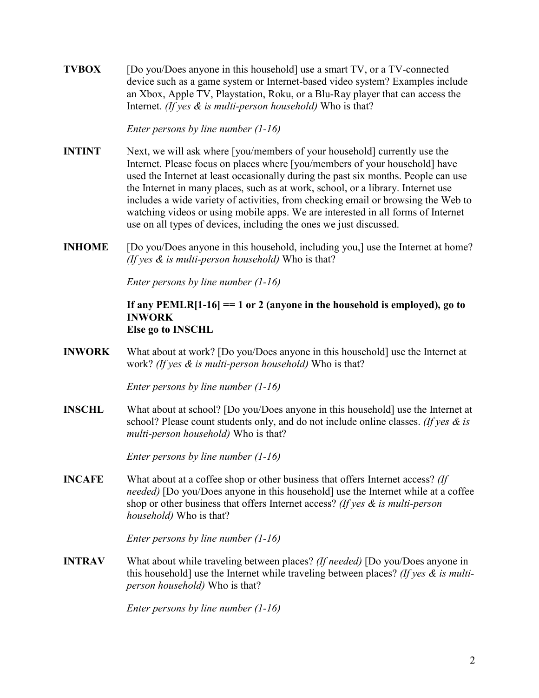**TVBOX** [Do you/Does anyone in this household] use a smart TV, or a TV-connected device such as a game system or Internet-based video system? Examples include an Xbox, Apple TV, Playstation, Roku, or a Blu-Ray player that can access the Internet. *(If yes & is multi-person household)* Who is that?

*Enter persons by line number (1-16)*

- **INTINT** Next, we will ask where [you/members of your household] currently use the Internet. Please focus on places where [you/members of your household] have used the Internet at least occasionally during the past six months. People can use the Internet in many places, such as at work, school, or a library. Internet use includes a wide variety of activities, from checking email or browsing the Web to watching videos or using mobile apps. We are interested in all forms of Internet use on all types of devices, including the ones we just discussed.
- **INHOME** [Do you/Does anyone in this household, including you,] use the Internet at home? *(If yes & is multi-person household)* Who is that?

*Enter persons by line number (1-16)*

#### **If any PEMLR[1-16] == 1 or 2 (anyone in the household is employed), go to INWORK Else go to INSCHL**

**INWORK** What about at work? [Do you/Does anyone in this household] use the Internet at work? *(If yes & is multi-person household)* Who is that?

*Enter persons by line number (1-16)*

**INSCHL** What about at school? [Do you/Does anyone in this household] use the Internet at school? Please count students only, and do not include online classes. *(If yes & is multi-person household)* Who is that?

*Enter persons by line number (1-16)*

**INCAFE** What about at a coffee shop or other business that offers Internet access? *(If needed)* [Do you/Does anyone in this household] use the Internet while at a coffee shop or other business that offers Internet access? *(If yes & is multi-person household)* Who is that?

*Enter persons by line number (1-16)*

**INTRAV** What about while traveling between places? *(If needed)* [Do you/Does anyone in this household] use the Internet while traveling between places? *(If yes & is multiperson household)* Who is that?

*Enter persons by line number (1-16)*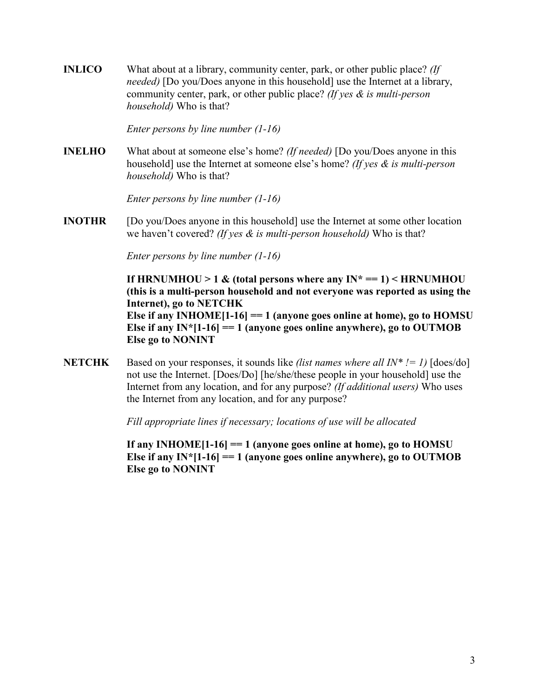**INLICO** What about at a library, community center, park, or other public place? *(If needed)* [Do you/Does anyone in this household] use the Internet at a library, community center, park, or other public place? *(If yes & is multi-person household)* Who is that?

*Enter persons by line number (1-16)*

**INELHO** What about at someone else's home? *(If needed)* [Do you/Does anyone in this household] use the Internet at someone else's home? *(If yes & is multi-person household)* Who is that?

*Enter persons by line number (1-16)*

**INOTHR** [Do you/Does anyone in this household] use the Internet at some other location we haven't covered? *(If yes & is multi-person household)* Who is that?

*Enter persons by line number (1-16)*

**If HRNUMHOU** > 1  $\&$  (total persons where any  $IN^* == 1$ ) < HRNUMHOU **(this is a multi-person household and not everyone was reported as using the Internet), go to NETCHK Else if any INHOME[1-16] == 1 (anyone goes online at home), go to HOMSU Else if any IN\***[1-16] = 1 (anyone goes online anywhere), go to OUTMOB **Else go to NONINT**

**NETCHK** Based on your responses, it sounds like *(list names where all IN\* != 1)*  $[does/do]$ not use the Internet. [Does/Do] [he/she/these people in your household] use the Internet from any location, and for any purpose? *(If additional users)* Who uses the Internet from any location, and for any purpose?

*Fill appropriate lines if necessary; locations of use will be allocated*

**If any INHOME[1-16] == 1 (anyone goes online at home), go to HOMSU Else if any IN\***[1-16] = 1 (anyone goes online anywhere), go to OUTMOB **Else go to NONINT**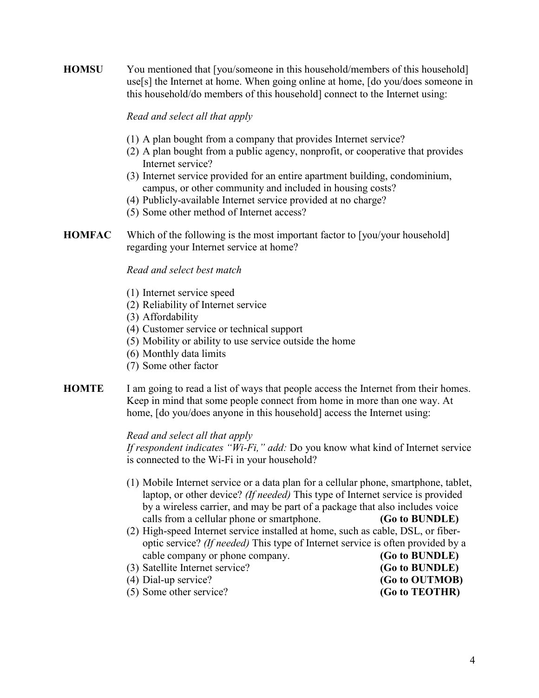**HOMSU** You mentioned that [you/someone in this household/members of this household] use[s] the Internet at home. When going online at home, [do you/does someone in this household/do members of this household] connect to the Internet using:

#### *Read and select all that apply*

- (1) A plan bought from a company that provides Internet service?
- (2) A plan bought from a public agency, nonprofit, or cooperative that provides Internet service?
- (3) Internet service provided for an entire apartment building, condominium, campus, or other community and included in housing costs?
- (4) Publicly-available Internet service provided at no charge?
- (5) Some other method of Internet access?
- **HOMFAC** Which of the following is the most important factor to [you/your household] regarding your Internet service at home?

#### *Read and select best match*

- (1) Internet service speed
- (2) Reliability of Internet service
- (3) Affordability
- (4) Customer service or technical support
- (5) Mobility or ability to use service outside the home
- (6) Monthly data limits
- (7) Some other factor
- **HOMTE** I am going to read a list of ways that people access the Internet from their homes. Keep in mind that some people connect from home in more than one way. At home,  $\lceil$  do you/does anyone in this household $\rceil$  access the Internet using:

#### *Read and select all that apply*

*If respondent indicates "Wi-Fi," add:* Do you know what kind of Internet service is connected to the Wi-Fi in your household?

- (1) Mobile Internet service or a data plan for a cellular phone, smartphone, tablet, laptop, or other device? *(If needed)* This type of Internet service is provided by a wireless carrier, and may be part of a package that also includes voice calls from a cellular phone or smartphone. **(Go to BUNDLE)**
- (2) High-speed Internet service installed at home, such as cable, DSL, or fiberoptic service? *(If needed)* This type of Internet service is often provided by a cable company or phone company. **(Go to BUNDLE)**<br>Satellite Internet service? **(Go to BUNDLE)**
- (3) Satellite Internet service?
- (4) Dial-up service? **(Go to OUTMOB)** (5) Some other service? **(Go to TEOTHR)**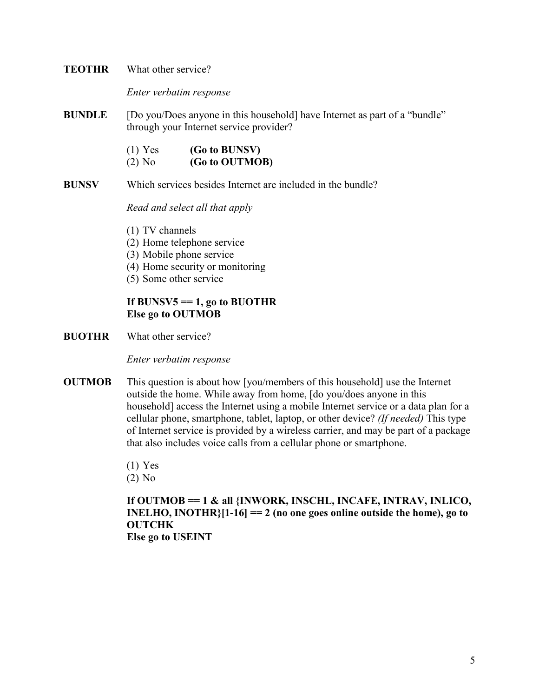#### **TEOTHR** What other service?

*Enter verbatim response*

**BUNDLE** [Do you/Does anyone in this household] have Internet as part of a "bundle" through your Internet service provider?

| $(1)$ Yes | (Go to BUNSV)  |
|-----------|----------------|
| $(2)$ No  | (Go to OUTMOB) |

**BUNSV** Which services besides Internet are included in the bundle?

*Read and select all that apply*

- (1) TV channels
- (2) Home telephone service
- (3) Mobile phone service
- (4) Home security or monitoring
- (5) Some other service

# If  $BUNSV5 == 1$ , go to  $BUOTHR$ **Else go to OUTMOB**

**BUOTHR** What other service?

*Enter verbatim response*

- **OUTMOB** This question is about how [you/members of this household] use the Internet outside the home. While away from home, [do you/does anyone in this household] access the Internet using a mobile Internet service or a data plan for a cellular phone, smartphone, tablet, laptop, or other device? *(If needed)* This type of Internet service is provided by a wireless carrier, and may be part of a package that also includes voice calls from a cellular phone or smartphone.
	- (1) Yes

(2) No

**If OUTMOB == 1 & all {INWORK, INSCHL, INCAFE, INTRAV, INLICO, INELHO, INOTHR}[1-16] == 2 (no one goes online outside the home), go to OUTCHK Else go to USEINT**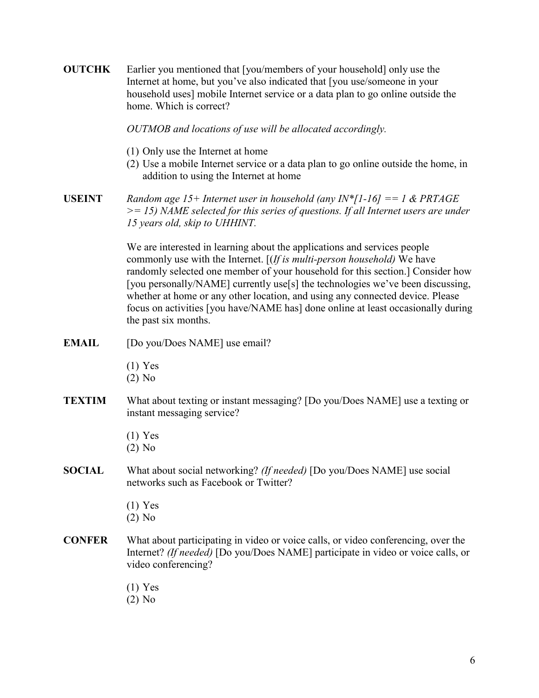| <b>OUTCHK</b> | Earlier you mentioned that [you/members of your household] only use the<br>Internet at home, but you've also indicated that [you use/someone in your<br>household uses] mobile Internet service or a data plan to go online outside the<br>home. Which is correct?                                                                                                                                                                                                                                                     |
|---------------|------------------------------------------------------------------------------------------------------------------------------------------------------------------------------------------------------------------------------------------------------------------------------------------------------------------------------------------------------------------------------------------------------------------------------------------------------------------------------------------------------------------------|
|               | OUTMOB and locations of use will be allocated accordingly.                                                                                                                                                                                                                                                                                                                                                                                                                                                             |
|               | (1) Only use the Internet at home<br>(2) Use a mobile Internet service or a data plan to go online outside the home, in<br>addition to using the Internet at home                                                                                                                                                                                                                                                                                                                                                      |
| <b>USEINT</b> | Random age 15+ Internet user in household (any IN*[1-16] == 1 & PRTAGE<br>$\ge$ = 15) NAME selected for this series of questions. If all Internet users are under<br>15 years old, skip to UHHINT.                                                                                                                                                                                                                                                                                                                     |
|               | We are interested in learning about the applications and services people<br>commonly use with the Internet. $[(If is multi-person household) We have$<br>randomly selected one member of your household for this section.] Consider how<br>[you personally/NAME] currently use[s] the technologies we've been discussing,<br>whether at home or any other location, and using any connected device. Please<br>focus on activities [you have/NAME has] done online at least occasionally during<br>the past six months. |
| <b>EMAIL</b>  | [Do you/Does NAME] use email?                                                                                                                                                                                                                                                                                                                                                                                                                                                                                          |
|               | $(1)$ Yes<br>$(2)$ No                                                                                                                                                                                                                                                                                                                                                                                                                                                                                                  |
| <b>TEXTIM</b> | What about texting or instant messaging? [Do you/Does NAME] use a texting or<br>instant messaging service?                                                                                                                                                                                                                                                                                                                                                                                                             |
|               | $(1)$ Yes<br>$(2)$ No                                                                                                                                                                                                                                                                                                                                                                                                                                                                                                  |
| <b>SOCIAL</b> | What about social networking? (If needed) [Do you/Does NAME] use social<br>networks such as Facebook or Twitter?                                                                                                                                                                                                                                                                                                                                                                                                       |
|               | $(1)$ Yes<br>$(2)$ No                                                                                                                                                                                                                                                                                                                                                                                                                                                                                                  |
| <b>CONFER</b> | What about participating in video or voice calls, or video conferencing, over the<br>Internet? (If needed) [Do you/Does NAME] participate in video or voice calls, or<br>video conferencing?                                                                                                                                                                                                                                                                                                                           |
|               | $(1)$ Yes<br>$(2)$ No                                                                                                                                                                                                                                                                                                                                                                                                                                                                                                  |
|               |                                                                                                                                                                                                                                                                                                                                                                                                                                                                                                                        |
|               |                                                                                                                                                                                                                                                                                                                                                                                                                                                                                                                        |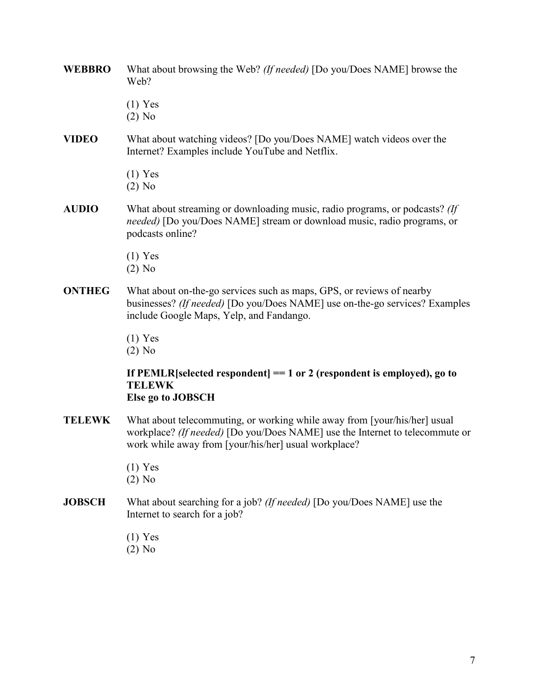- **WEBBRO** What about browsing the Web? *(If needed)* [Do you/Does NAME] browse the Web?
	- (1) Yes
	- (2) No
- **VIDEO** What about watching videos? [Do you/Does NAME] watch videos over the Internet? Examples include YouTube and Netflix.
	- (1) Yes
	- (2) No
- **AUDIO** What about streaming or downloading music, radio programs, or podcasts? *(If needed)* [Do you/Does NAME] stream or download music, radio programs, or podcasts online?
	- (1) Yes
	- (2) No
- **ONTHEG** What about on-the-go services such as maps, GPS, or reviews of nearby businesses? *(If needed)* [Do you/Does NAME] use on-the-go services? Examples include Google Maps, Yelp, and Fandango.
	- (1) Yes

(2) No

# **If PEMLR[selected respondent] == 1 or 2 (respondent is employed), go to TELEWK Else go to JOBSCH**

- **TELEWK** What about telecommuting, or working while away from [your/his/her] usual workplace? *(If needed)* [Do you/Does NAME] use the Internet to telecommute or work while away from [your/his/her] usual workplace?
	- (1) Yes
	- (2) No
- **JOBSCH** What about searching for a job? *(If needed)* [Do you/Does NAME] use the Internet to search for a job?
	- (1) Yes
	- (2) No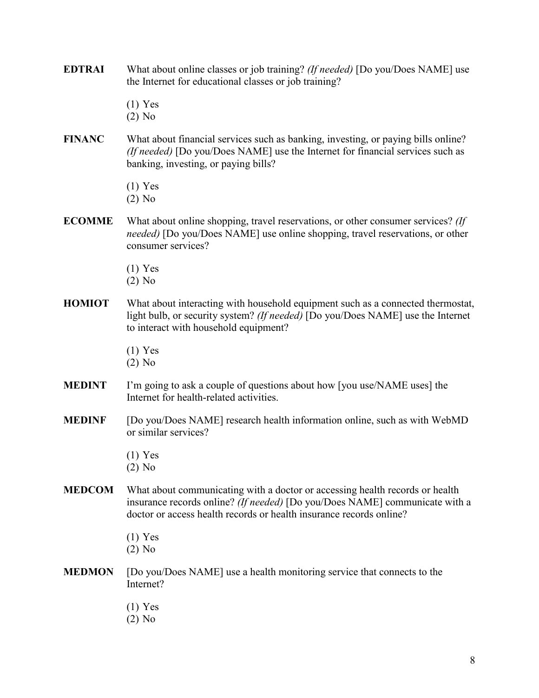- **EDTRAI** What about online classes or job training? *(If needed)* [Do you/Does NAME] use the Internet for educational classes or job training?
	- (1) Yes
	- (2) No
- **FINANC** What about financial services such as banking, investing, or paying bills online? *(If needed)* [Do you/Does NAME] use the Internet for financial services such as banking, investing, or paying bills?
	- (1) Yes
	- (2) No
- **ECOMME** What about online shopping, travel reservations, or other consumer services? *(If needed)* [Do you/Does NAME] use online shopping, travel reservations, or other consumer services?
	- (1) Yes
	- (2) No
- **HOMIOT** What about interacting with household equipment such as a connected thermostat, light bulb, or security system? *(If needed)* [Do you/Does NAME] use the Internet to interact with household equipment?
	- (1) Yes
	- (2) No
- **MEDINT** I'm going to ask a couple of questions about how [you use/NAME uses] the Internet for health-related activities.
- **MEDINF** [Do you/Does NAME] research health information online, such as with WebMD or similar services?
	- (1) Yes
	- (2) No
- **MEDCOM** What about communicating with a doctor or accessing health records or health insurance records online? *(If needed)* [Do you/Does NAME] communicate with a doctor or access health records or health insurance records online?
	- (1) Yes
	- (2) No
- **MEDMON** [Do you/Does NAME] use a health monitoring service that connects to the Internet?
	- (1) Yes
	- (2) No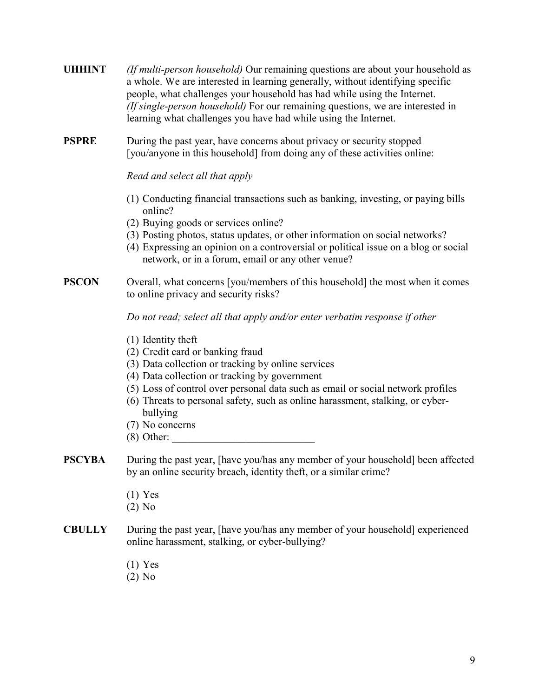| <b>UHHINT</b> | <i>(If multi-person household)</i> Our remaining questions are about your household as |
|---------------|----------------------------------------------------------------------------------------|
|               | a whole. We are interested in learning generally, without identifying specific         |
|               | people, what challenges your household has had while using the Internet.               |
|               | (If single-person household) For our remaining questions, we are interested in         |
|               | learning what challenges you have had while using the Internet.                        |

**PSPRE** During the past year, have concerns about privacy or security stopped [you/anyone in this household] from doing any of these activities online:

*Read and select all that apply*

- (1) Conducting financial transactions such as banking, investing, or paying bills online?
- (2) Buying goods or services online?
- (3) Posting photos, status updates, or other information on social networks?
- (4) Expressing an opinion on a controversial or political issue on a blog or social network, or in a forum, email or any other venue?

### **PSCON** Overall, what concerns [you/members of this household] the most when it comes to online privacy and security risks?

*Do not read; select all that apply and/or enter verbatim response if other*

- (1) Identity theft
- (2) Credit card or banking fraud
- (3) Data collection or tracking by online services
- (4) Data collection or tracking by government
- (5) Loss of control over personal data such as email or social network profiles
- (6) Threats to personal safety, such as online harassment, stalking, or cyberbullying
- (7) No concerns
- $(8)$  Other:
- **PSCYBA** During the past year, [have you/has any member of your household] been affected by an online security breach, identity theft, or a similar crime?
	- (1) Yes
	- (2) No
- **CBULLY** During the past year, [have you/has any member of your household] experienced online harassment, stalking, or cyber-bullying?
	- (1) Yes
	- (2) No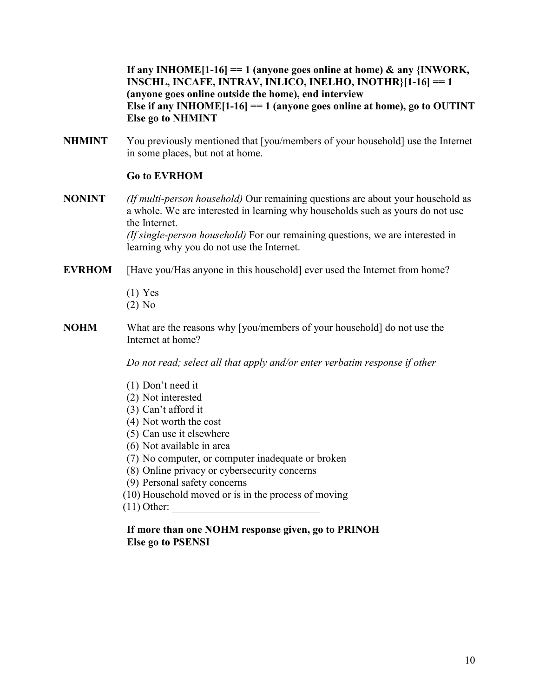**If any INHOME[1-16] == 1 (anyone goes online at home) & any {INWORK, INSCHL, INCAFE, INTRAV, INLICO, INELHO, INOTHR}[1-16] == 1 (anyone goes online outside the home), end interview Else if any INHOME[1-16] == 1 (anyone goes online at home), go to OUTINT Else go to NHMINT**

**NHMINT** You previously mentioned that [you/members of your household] use the Internet in some places, but not at home.

# **Go to EVRHOM**

- **NONINT** *(If multi-person household)* Our remaining questions are about your household as a whole. We are interested in learning why households such as yours do not use the Internet. *(If single-person household)* For our remaining questions, we are interested in learning why you do not use the Internet.
- **EVRHOM** [Have you/Has anyone in this household] ever used the Internet from home?
	- (1) Yes (2) No
- **NOHM** What are the reasons why [you/members of your household] do not use the Internet at home?

*Do not read; select all that apply and/or enter verbatim response if other*

- (1) Don't need it
- (2) Not interested
- (3) Can't afford it
- (4) Not worth the cost
- (5) Can use it elsewhere
- (6) Not available in area
- (7) No computer, or computer inadequate or broken
- (8) Online privacy or cybersecurity concerns
- (9) Personal safety concerns
- (10) Household moved or is in the process of moving
- $(11)$  Other:

# **If more than one NOHM response given, go to PRINOH Else go to PSENSI**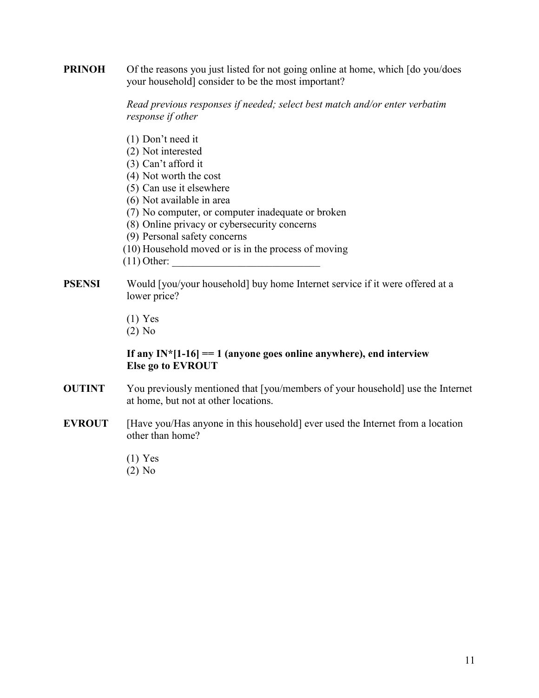**PRINOH** Of the reasons you just listed for not going online at home, which [do you/does your household] consider to be the most important?

> *Read previous responses if needed; select best match and/or enter verbatim response if other*

- (1) Don't need it
- (2) Not interested
- (3) Can't afford it
- (4) Not worth the cost
- (5) Can use it elsewhere
- (6) Not available in area
- (7) No computer, or computer inadequate or broken
- (8) Online privacy or cybersecurity concerns
- (9) Personal safety concerns
- (10) Household moved or is in the process of moving
- $(11)$  Other:
- **PSENSI** Would [you/your household] buy home Internet service if it were offered at a lower price?
	- (1) Yes
	- (2) No

# **If any IN\*[1-16] == 1 (anyone goes online anywhere), end interview Else go to EVROUT**

- **OUTINT** You previously mentioned that [you/members of your household] use the Internet at home, but not at other locations.
- **EVROUT** [Have you/Has anyone in this household] ever used the Internet from a location other than home?
	- (1) Yes
	- (2) No